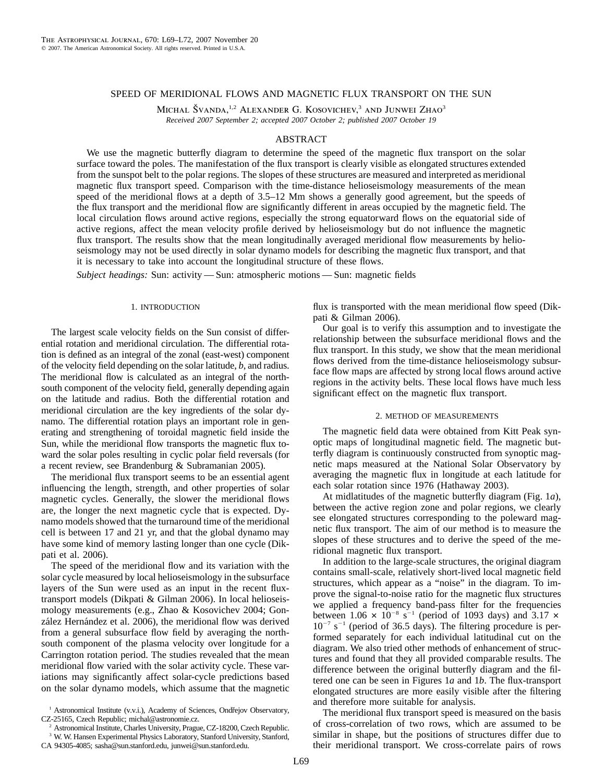## SPEED OF MERIDIONAL FLOWS AND MAGNETIC FLUX TRANSPORT ON THE SUN

MICHAL ŠVANDA,<sup>1,2</sup> ALEXANDER G. KOSOVICHEV,<sup>3</sup> AND JUNWEI ZHAO<sup>3</sup> *Received 2007 September 2; accepted 2007 October 2; published 2007 October 19*

### ABSTRACT

We use the magnetic butterfly diagram to determine the speed of the magnetic flux transport on the solar surface toward the poles. The manifestation of the flux transport is clearly visible as elongated structures extended from the sunspot belt to the polar regions. The slopes of these structures are measured and interpreted as meridional magnetic flux transport speed. Comparison with the time-distance helioseismology measurements of the mean speed of the meridional flows at a depth of 3.5–12 Mm shows a generally good agreement, but the speeds of the flux transport and the meridional flow are significantly different in areas occupied by the magnetic field. The local circulation flows around active regions, especially the strong equatorward flows on the equatorial side of active regions, affect the mean velocity profile derived by helioseismology but do not influence the magnetic flux transport. The results show that the mean longitudinally averaged meridional flow measurements by helioseismology may not be used directly in solar dynamo models for describing the magnetic flux transport, and that it is necessary to take into account the longitudinal structure of these flows.

*Subject headings:* Sun: activity — Sun: atmospheric motions — Sun: magnetic fields

### 1. INTRODUCTION

The largest scale velocity fields on the Sun consist of differential rotation and meridional circulation. The differential rotation is defined as an integral of the zonal (east-west) component of the velocity field depending on the solar latitude, *b*, and radius. The meridional flow is calculated as an integral of the northsouth component of the velocity field, generally depending again on the latitude and radius. Both the differential rotation and meridional circulation are the key ingredients of the solar dynamo. The differential rotation plays an important role in generating and strengthening of toroidal magnetic field inside the Sun, while the meridional flow transports the magnetic flux toward the solar poles resulting in cyclic polar field reversals (for a recent review, see Brandenburg & Subramanian 2005).

The meridional flux transport seems to be an essential agent influencing the length, strength, and other properties of solar magnetic cycles. Generally, the slower the meridional flows are, the longer the next magnetic cycle that is expected. Dynamo models showed that the turnaround time of the meridional cell is between 17 and 21 yr, and that the global dynamo may have some kind of memory lasting longer than one cycle (Dikpati et al. 2006).

The speed of the meridional flow and its variation with the solar cycle measured by local helioseismology in the subsurface layers of the Sun were used as an input in the recent fluxtransport models (Dikpati & Gilman 2006). In local helioseismology measurements (e.g., Zhao & Kosovichev 2004; González Hernández et al. 2006), the meridional flow was derived from a general subsurface flow field by averaging the northsouth component of the plasma velocity over longitude for a Carrington rotation period. The studies revealed that the mean meridional flow varied with the solar activity cycle. These variations may significantly affect solar-cycle predictions based on the solar dynamo models, which assume that the magnetic

<sup>2</sup> Astronomical Institute, Charles University, Prague, CZ-18200, Czech Republic.

<sup>3</sup> W. W. Hansen Experimental Physics Laboratory, Stanford University, Stanford,

CA 94305-4085; sasha@sun.stanford.edu, junwei@sun.stanford.edu.

flux is transported with the mean meridional flow speed (Dikpati & Gilman 2006).

Our goal is to verify this assumption and to investigate the relationship between the subsurface meridional flows and the flux transport. In this study, we show that the mean meridional flows derived from the time-distance helioseismology subsurface flow maps are affected by strong local flows around active regions in the activity belts. These local flows have much less significant effect on the magnetic flux transport.

# 2. METHOD OF MEASUREMENTS

The magnetic field data were obtained from Kitt Peak synoptic maps of longitudinal magnetic field. The magnetic butterfly diagram is continuously constructed from synoptic magnetic maps measured at the National Solar Observatory by averaging the magnetic flux in longitude at each latitude for each solar rotation since 1976 (Hathaway 2003).

At midlatitudes of the magnetic butterfly diagram (Fig. 1*a*), between the active region zone and polar regions, we clearly see elongated structures corresponding to the poleward magnetic flux transport. The aim of our method is to measure the slopes of these structures and to derive the speed of the meridional magnetic flux transport.

In addition to the large-scale structures, the original diagram contains small-scale, relatively short-lived local magnetic field structures, which appear as a "noise" in the diagram. To improve the signal-to-noise ratio for the magnetic flux structures we applied a frequency band-pass filter for the frequencies between  $1.06 \times 10^{-8}$  s<sup>-1</sup> (period of 1093 days) and 3.17  $\times$  $10^{-7}$  s<sup>-1</sup> (period of 36.5 days). The filtering procedure is performed separately for each individual latitudinal cut on the diagram. We also tried other methods of enhancement of structures and found that they all provided comparable results. The difference between the original butterfly diagram and the filtered one can be seen in Figures 1*a* and 1*b*. The flux-transport elongated structures are more easily visible after the filtering and therefore more suitable for analysis.

The meridional flux transport speed is measured on the basis of cross-correlation of two rows, which are assumed to be similar in shape, but the positions of structures differ due to their meridional transport. We cross-correlate pairs of rows

<sup>&</sup>lt;sup>1</sup> Astronomical Institute (v.v.i.), Academy of Sciences, Ondřejov Observatory, CZ-25165, Czech Republic; michal@astronomie.cz.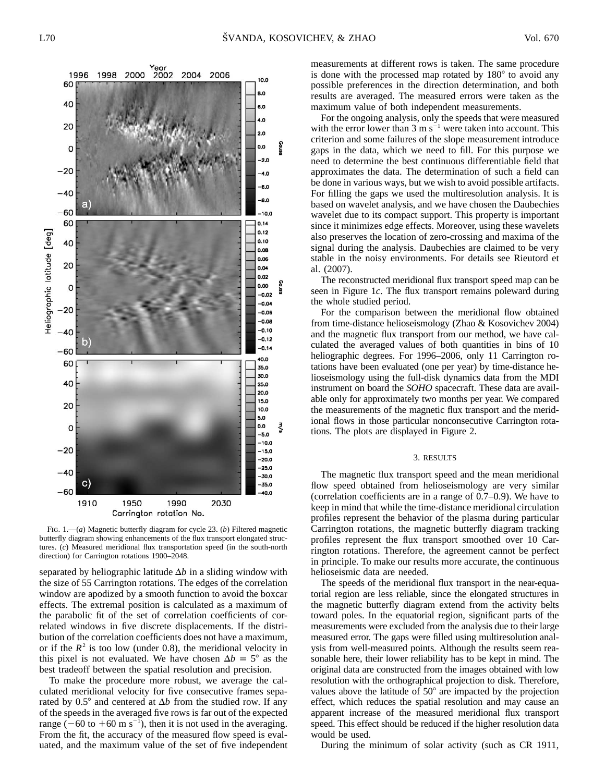measurements at different rows is taken. The same procedure is done with the processed map rotated by  $180^\circ$  to avoid any possible preferences in the direction determination, and both results are averaged. The measured errors were taken as the maximum value of both independent measurements.

For the ongoing analysis, only the speeds that were measured with the error lower than 3 m  $s^{-1}$  were taken into account. This criterion and some failures of the slope measurement introduce gaps in the data, which we need to fill. For this purpose we need to determine the best continuous differentiable field that approximates the data. The determination of such a field can be done in various ways, but we wish to avoid possible artifacts. For filling the gaps we used the multiresolution analysis. It is based on wavelet analysis, and we have chosen the Daubechies wavelet due to its compact support. This property is important since it minimizes edge effects. Moreover, using these wavelets also preserves the location of zero-crossing and maxima of the signal during the analysis. Daubechies are claimed to be very stable in the noisy environments. For details see Rieutord et al. (2007).

The reconstructed meridional flux transport speed map can be seen in Figure 1*c*. The flux transport remains poleward during the whole studied period.

For the comparison between the meridional flow obtained from time-distance helioseismology (Zhao & Kosovichev 2004) and the magnetic flux transport from our method, we have calculated the averaged values of both quantities in bins of 10 heliographic degrees. For 1996–2006, only 11 Carrington rotations have been evaluated (one per year) by time-distance helioseismology using the full-disk dynamics data from the MDI instrument on board the *SOHO* spacecraft. These data are available only for approximately two months per year. We compared the measurements of the magnetic flux transport and the meridional flows in those particular nonconsecutive Carrington rotations. The plots are displayed in Figure 2.

### 3. RESULTS

The magnetic flux transport speed and the mean meridional flow speed obtained from helioseismology are very similar (correlation coefficients are in a range of 0.7–0.9). We have to keep in mind that while the time-distance meridional circulation profiles represent the behavior of the plasma during particular Carrington rotations, the magnetic butterfly diagram tracking profiles represent the flux transport smoothed over 10 Carrington rotations. Therefore, the agreement cannot be perfect in principle. To make our results more accurate, the continuous helioseismic data are needed.

The speeds of the meridional flux transport in the near-equatorial region are less reliable, since the elongated structures in the magnetic butterfly diagram extend from the activity belts toward poles. In the equatorial region, significant parts of the measurements were excluded from the analysis due to their large measured error. The gaps were filled using multiresolution analysis from well-measured points. Although the results seem reasonable here, their lower reliability has to be kept in mind. The original data are constructed from the images obtained with low resolution with the orthographical projection to disk. Therefore, values above the latitude of  $50^{\circ}$  are impacted by the projection effect, which reduces the spatial resolution and may cause an apparent increase of the measured meridional flux transport speed. This effect should be reduced if the higher resolution data would be used.

During the minimum of solar activity (such as CR 1911,

Fig. 1.—(*a*) Magnetic butterfly diagram for cycle 23. (*b*) Filtered magnetic butterfly diagram showing enhancements of the flux transport elongated structures. (*c*) Measured meridional flux transportation speed (in the south-north direction) for Carrington rotations 1900–2048.

separated by heliographic latitude  $\Delta b$  in a sliding window with the size of 55 Carrington rotations. The edges of the correlation window are apodized by a smooth function to avoid the boxcar effects. The extremal position is calculated as a maximum of the parabolic fit of the set of correlation coefficients of correlated windows in five discrete displacements. If the distribution of the correlation coefficients does not have a maximum, or if the  $R^2$  is too low (under 0.8), the meridional velocity in this pixel is not evaluated. We have chosen  $\Delta b = 5^{\circ}$  as the best tradeoff between the spatial resolution and precision.

To make the procedure more robust, we average the calculated meridional velocity for five consecutive frames separated by  $0.5^{\circ}$  and centered at  $\Delta b$  from the studied row. If any of the speeds in the averaged five rows is far out of the expected range  $(-60 \text{ to } +60 \text{ m s}^{-1})$ , then it is not used in the averaging. From the fit, the accuracy of the measured flow speed is evaluated, and the maximum value of the set of five independent

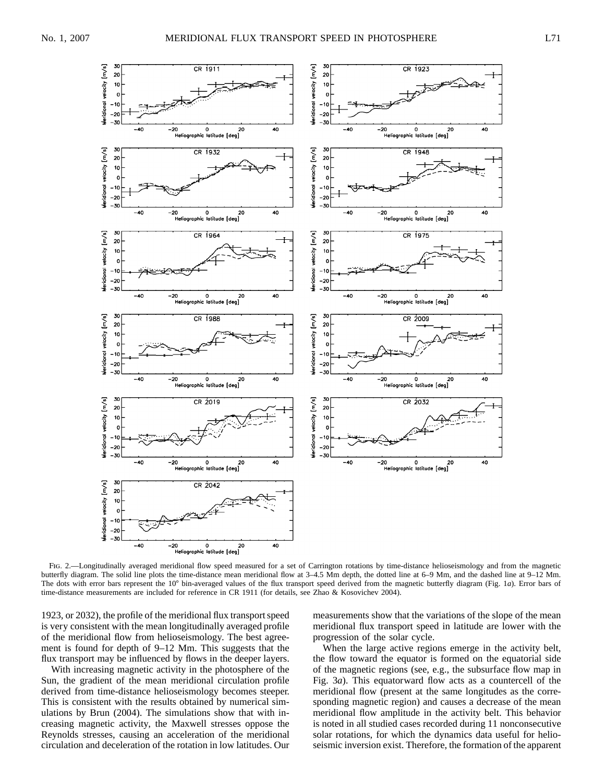

Fig. 2.—Longitudinally averaged meridional flow speed measured for a set of Carrington rotations by time-distance helioseismology and from the magnetic butterfly diagram. The solid line plots the time-distance mean meridional flow at 3–4.5 Mm depth, the dotted line at 6–9 Mm, and the dashed line at 9–12 Mm. The dots with error bars represent the 10° bin-averaged values of the flux transport speed derived from the magnetic butterfly diagram (Fig. 1*a*). Error bars of time-distance measurements are included for reference in CR 1911 (for details, see Zhao & Kosovichev 2004).

1923, or 2032), the profile of the meridional flux transport speed is very consistent with the mean longitudinally averaged profile of the meridional flow from helioseismology. The best agreement is found for depth of 9–12 Mm. This suggests that the flux transport may be influenced by flows in the deeper layers.

With increasing magnetic activity in the photosphere of the Sun, the gradient of the mean meridional circulation profile derived from time-distance helioseismology becomes steeper. This is consistent with the results obtained by numerical simulations by Brun (2004). The simulations show that with increasing magnetic activity, the Maxwell stresses oppose the Reynolds stresses, causing an acceleration of the meridional circulation and deceleration of the rotation in low latitudes. Our measurements show that the variations of the slope of the mean meridional flux transport speed in latitude are lower with the progression of the solar cycle.

When the large active regions emerge in the activity belt, the flow toward the equator is formed on the equatorial side of the magnetic regions (see, e.g., the subsurface flow map in Fig. 3*a*). This equatorward flow acts as a countercell of the meridional flow (present at the same longitudes as the corresponding magnetic region) and causes a decrease of the mean meridional flow amplitude in the activity belt. This behavior is noted in all studied cases recorded during 11 nonconsecutive solar rotations, for which the dynamics data useful for helioseismic inversion exist. Therefore, the formation of the apparent